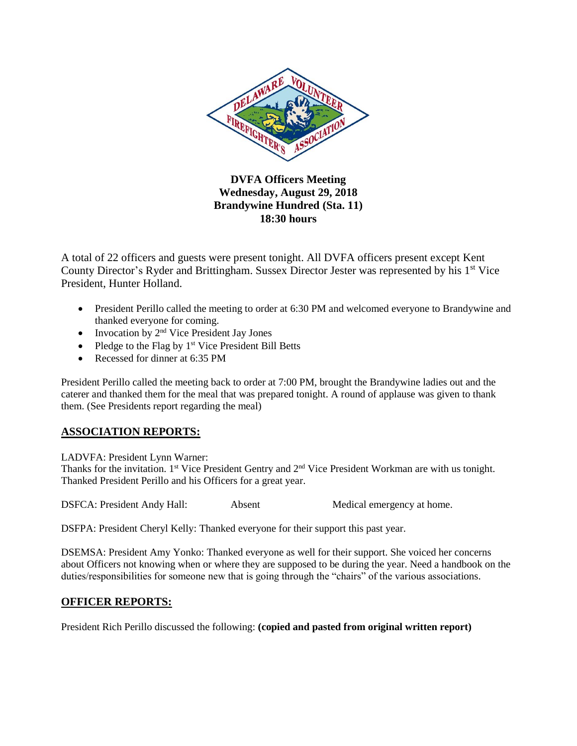

**DVFA Officers Meeting Wednesday, August 29, 2018 Brandywine Hundred (Sta. 11) 18:30 hours**

A total of 22 officers and guests were present tonight. All DVFA officers present except Kent County Director's Ryder and Brittingham. Sussex Director Jester was represented by his 1<sup>st</sup> Vice President, Hunter Holland.

- President Perillo called the meeting to order at 6:30 PM and welcomed everyone to Brandywine and thanked everyone for coming.
- Invocation by  $2<sup>nd</sup>$  Vice President Jay Jones
- Pledge to the Flag by  $1<sup>st</sup>$  Vice President Bill Betts
- Recessed for dinner at 6:35 PM

President Perillo called the meeting back to order at 7:00 PM, brought the Brandywine ladies out and the caterer and thanked them for the meal that was prepared tonight. A round of applause was given to thank them. (See Presidents report regarding the meal)

## **ASSOCIATION REPORTS:**

LADVFA: President Lynn Warner:

Thanks for the invitation. 1<sup>st</sup> Vice President Gentry and 2<sup>nd</sup> Vice President Workman are with us tonight. Thanked President Perillo and his Officers for a great year.

DSFCA: President Andy Hall: Absent Medical emergency at home.

DSFPA: President Cheryl Kelly: Thanked everyone for their support this past year.

DSEMSA: President Amy Yonko: Thanked everyone as well for their support. She voiced her concerns about Officers not knowing when or where they are supposed to be during the year. Need a handbook on the duties/responsibilities for someone new that is going through the "chairs" of the various associations.

## **OFFICER REPORTS:**

President Rich Perillo discussed the following: **(copied and pasted from original written report)**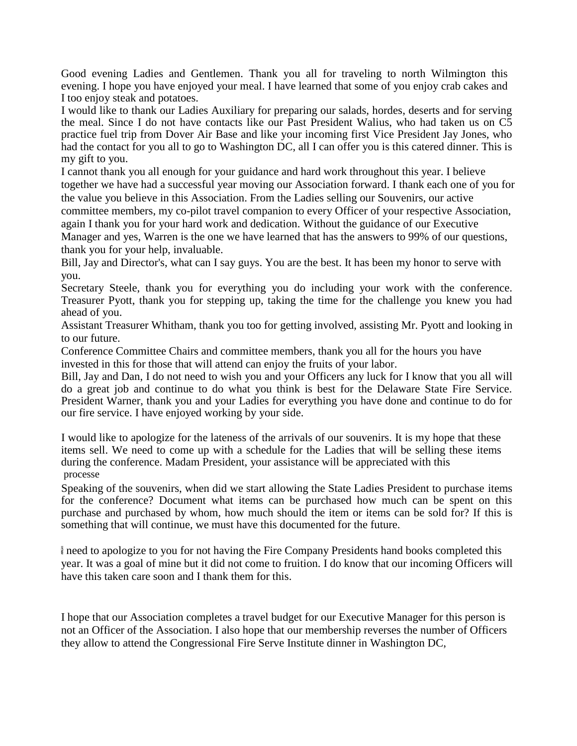Good evening Ladies and Gentlemen. Thank you all for traveling to north Wilmington this evening. I hope you have enjoyed your meal. I have learned that some of you enjoy crab cakes and I too enjoy steak and potatoes.

I would like to thank our Ladies Auxiliary for preparing our salads, hordes, deserts and for serving the meal. Since I do not have contacts like our Past President Walius, who had taken us on C5 practice fuel trip from Dover Air Base and like your incoming first Vice President Jay Jones, who had the contact for you all to go to Washington DC, all I can offer you is this catered dinner. This is my gift to you.

I cannot thank you all enough for your guidance and hard work throughout this year. I believe together we have had a successful year moving our Association forward. I thank each one of you for the value you believe in this Association. From the Ladies selling our Souvenirs, our active

committee members, my co-pilot travel companion to every Officer of your respective Association,

again I thank you for your hard work and dedication. Without the guidance of our Executive Manager and yes, Warren is the one we have learned that has the answers to 99% of our questions, thank you for your help, invaluable.

Bill, Jay and Director's, what can I say guys. You are the best. It has been my honor to serve with you.

Secretary Steele, thank you for everything you do including your work with the conference. Treasurer Pyott, thank you for stepping up, taking the time for the challenge you knew you had ahead of you.

Assistant Treasurer Whitham, thank you too for getting involved, assisting Mr. Pyott and looking in to our future.

Conference Committee Chairs and committee members, thank you all for the hours you have invested in this for those that will attend can enjoy the fruits of your labor.

Bill, Jay and Dan, I do not need to wish you and your Officers any luck for I know that you all will do a great job and continue to do what you think is best for the Delaware State Fire Service. President Warner, thank you and your Ladies for everything you have done and continue to do for our fire service. I have enjoyed working by your side.

I would like to apologize for the lateness of the arrivals of our souvenirs. It is my hope that these items sell. We need to come up with a schedule for the Ladies that will be selling these items during the conference. Madam President, your assistance will be appreciated with this processe

Speaking of the souvenirs, when did we start allowing the State Ladies President to purchase items for the conference? Document what items can be purchased how much can be spent on this purchase and purchased by whom, how much should the item or items can be sold for? If this is something that will continue, we must have this documented for the future.

need to apologize to you for not having the Fire Company Presidents hand books completed this year. It was a goal of mine but it did not come to fruition. I do know that our incoming Officers will have this taken care soon and I thank them for this.

I hope that our Association completes a travel budget for our Executive Manager for this person is not an Officer of the Association. I also hope that our membership reverses the number of Officers they allow to attend the Congressional Fire Serve Institute dinner in Washington DC,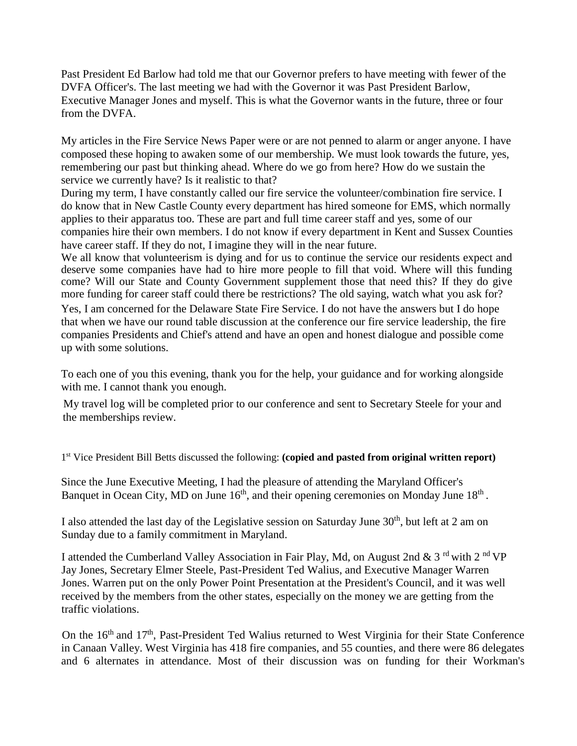Past President Ed Barlow had told me that our Governor prefers to have meeting with fewer of the DVFA Officer's. The last meeting we had with the Governor it was Past President Barlow, Executive Manager Jones and myself. This is what the Governor wants in the future, three or four from the DVFA.

My articles in the Fire Service News Paper were or are not penned to alarm or anger anyone. I have composed these hoping to awaken some of our membership. We must look towards the future, yes, remembering our past but thinking ahead. Where do we go from here? How do we sustain the service we currently have? Is it realistic to that?

During my term, I have constantly called our fire service the volunteer/combination fire service. I do know that in New Castle County every department has hired someone for EMS, which normally applies to their apparatus too. These are part and full time career staff and yes, some of our companies hire their own members. I do not know if every department in Kent and Sussex Counties have career staff. If they do not, I imagine they will in the near future.

We all know that volunteerism is dying and for us to continue the service our residents expect and deserve some companies have had to hire more people to fill that void. Where will this funding come? Will our State and County Government supplement those that need this? If they do give more funding for career staff could there be restrictions? The old saying, watch what you ask for?

Yes, I am concerned for the Delaware State Fire Service. I do not have the answers but I do hope that when we have our round table discussion at the conference our fire service leadership, the fire companies Presidents and Chief's attend and have an open and honest dialogue and possible come up with some solutions.

To each one of you this evening, thank you for the help, your guidance and for working alongside with me. I cannot thank you enough.

My travel log will be completed prior to our conference and sent to Secretary Steele for your and the memberships review.

1 st Vice President Bill Betts discussed the following: **(copied and pasted from original written report)**

Since the June Executive Meeting, I had the pleasure of attending the Maryland Officer's Banquet in Ocean City, MD on June  $16<sup>th</sup>$ , and their opening ceremonies on Monday June  $18<sup>th</sup>$ .

I also attended the last day of the Legislative session on Saturday June  $30<sup>th</sup>$ , but left at 2 am on Sunday due to a family commitment in Maryland.

I attended the Cumberland Valley Association in Fair Play, Md, on August 2nd & 3<sup>rd</sup> with 2<sup>nd</sup> VP Jay Jones, Secretary Elmer Steele, Past-President Ted Walius, and Executive Manager Warren Jones. Warren put on the only Power Point Presentation at the President's Council, and it was well received by the members from the other states, especially on the money we are getting from the traffic violations.

On the 16<sup>th</sup> and 17<sup>th</sup>, Past-President Ted Walius returned to West Virginia for their State Conference in Canaan Valley. West Virginia has 418 fire companies, and 55 counties, and there were 86 delegates and 6 alternates in attendance. Most of their discussion was on funding for their Workman's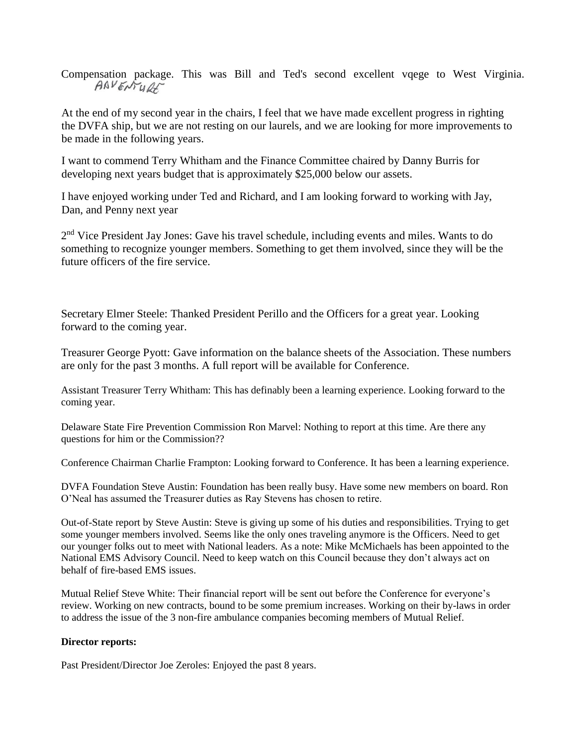Compensation package. This was Bill and Ted's second excellent vqege to West Virginia.<br> $A^{\alpha}V \in \mathcal{N} \cup \mathcal{U}$ 

At the end of my second year in the chairs, I feel that we have made excellent progress in righting the DVFA ship, but we are not resting on our laurels, and we are looking for more improvements to be made in the following years.

I want to commend Terry Whitham and the Finance Committee chaired by Danny Burris for developing next years budget that is approximately \$25,000 below our assets.

I have enjoyed working under Ted and Richard, and I am looking forward to working with Jay, Dan, and Penny next year

2<sup>nd</sup> Vice President Jay Jones: Gave his travel schedule, including events and miles. Wants to do something to recognize younger members. Something to get them involved, since they will be the future officers of the fire service.

Secretary Elmer Steele: Thanked President Perillo and the Officers for a great year. Looking forward to the coming year.

Treasurer George Pyott: Gave information on the balance sheets of the Association. These numbers are only for the past 3 months. A full report will be available for Conference.

Assistant Treasurer Terry Whitham: This has definably been a learning experience. Looking forward to the coming year.

Delaware State Fire Prevention Commission Ron Marvel: Nothing to report at this time. Are there any questions for him or the Commission??

Conference Chairman Charlie Frampton: Looking forward to Conference. It has been a learning experience.

DVFA Foundation Steve Austin: Foundation has been really busy. Have some new members on board. Ron O'Neal has assumed the Treasurer duties as Ray Stevens has chosen to retire.

Out-of-State report by Steve Austin: Steve is giving up some of his duties and responsibilities. Trying to get some younger members involved. Seems like the only ones traveling anymore is the Officers. Need to get our younger folks out to meet with National leaders. As a note: Mike McMichaels has been appointed to the National EMS Advisory Council. Need to keep watch on this Council because they don't always act on behalf of fire-based EMS issues.

Mutual Relief Steve White: Their financial report will be sent out before the Conference for everyone's review. Working on new contracts, bound to be some premium increases. Working on their by-laws in order to address the issue of the 3 non-fire ambulance companies becoming members of Mutual Relief.

## **Director reports:**

Past President/Director Joe Zeroles: Enjoyed the past 8 years.